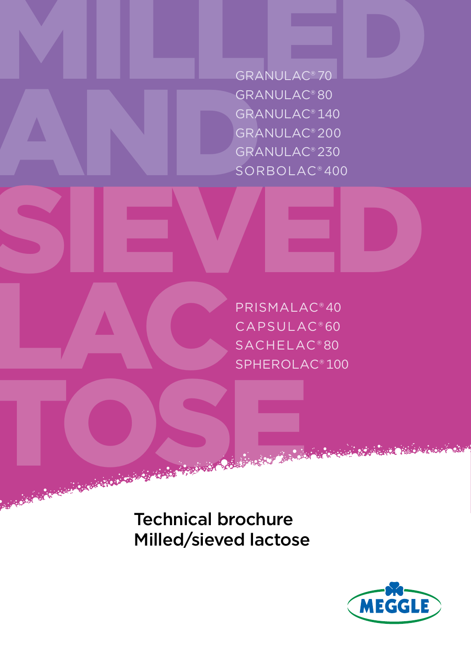GRANULAC<sup>®</sup> 70 GRA<br>GRA<br>GRA<br>SOR<br>SOR GRANULAC® 70 GRANULAC® 80 GRANULAC® 140 GRANULAC® 200 GRANULAC® 230 SORBOLAC® 400

SIEVED TOSE NE PRISMALAC® 40 CAPSULAC® 60 SACHELAC® 80 SPHEROLAC® 100

> Technical brochure Milled/sieved lactose

LAC

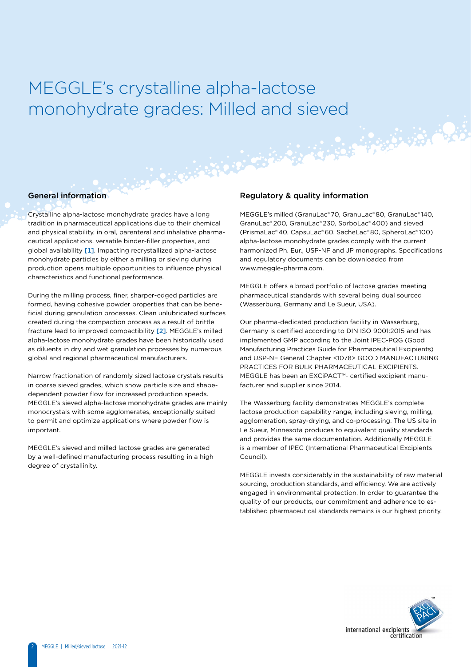### Regulatory & quality information MEGGLE's crystalline alpha-lactose monohydrate grades: Milled and sieved

### General information

Crystalline alpha-lactose monohydrate grades have a long tradition in pharmaceutical applications due to their chemical and physical stability, in oral, parenteral and inhalative pharmaceutical applications, versatile binder-filler properties, and global availability [1]. Impacting recrystallized alpha-lactose monohydrate particles by either a milling or sieving during production opens multiple opportunities to influence physical characteristics and functional performance.

During the milling process, finer, sharper-edged particles are formed, having cohesive powder properties that can be beneficial during granulation processes. Clean unlubricated surfaces created during the compaction process as a result of brittle fracture lead to improved compactibility [2]. MEGGLE's milled alpha-lactose monohydrate grades have been historically used as diluents in dry and wet granulation processes by numerous global and regional pharmaceutical manufacturers.

Narrow fractionation of randomly sized lactose crystals results in coarse sieved grades, which show particle size and shapedependent powder flow for increased production speeds. MEGGLE's sieved alpha-lactose monohydrate grades are mainly monocrystals with some agglomerates, exceptionally suited to permit and optimize applications where powder flow is important.

MEGGLE's sieved and milled lactose grades are generated by a well-defined manufacturing process resulting in a high degree of crystallinity.

MEGGLE's milled (GranuLac® 70, GranuLac® 80, GranuLac® 140, GranuLac® 200, GranuLac® 230, SorboLac® 400) and sieved (PrismaLac® 40, CapsuLac® 60, SacheLac® 80, SpheroLac® 100) alpha-lactose monohydrate grades comply with the current harmonized Ph. Eur., USP-NF and JP monographs. Specifications and regulatory documents can be downloaded from www.meggle-pharma.com.

MEGGLE offers a broad portfolio of lactose grades meeting pharmaceutical standards with several being dual sourced (Wasserburg, Germany and Le Sueur, USA).

Our pharma-dedicated production facility in Wasserburg, Germany is certified according to DIN ISO 9001:2015 and has implemented GMP according to the Joint IPEC-PQG (Good Manufacturing Practices Guide for Pharmaceutical Excipients) and USP-NF General Chapter <1078> GOOD MANUFACTURING PRACTICES FOR BULK PHARMACEUTICAL EXCIPIENTS. MEGGLE has been an EXCiPACT™- certified excipient manufacturer and supplier since 2014.

The Wasserburg facility demonstrates MEGGLE's complete lactose production capability range, including sieving, milling, agglomeration, spray-drying, and co-processing. The US site in Le Sueur, Minnesota produces to equivalent quality standards and provides the same documentation. Additionally MEGGLE is a member of IPEC (International Pharmaceutical Excipients Council).

MEGGLE invests considerably in the sustainability of raw material sourcing, production standards, and efficiency. We are actively engaged in environmental protection. In order to guarantee the quality of our products, our commitment and adherence to established pharmaceutical standards remains is our highest priority.

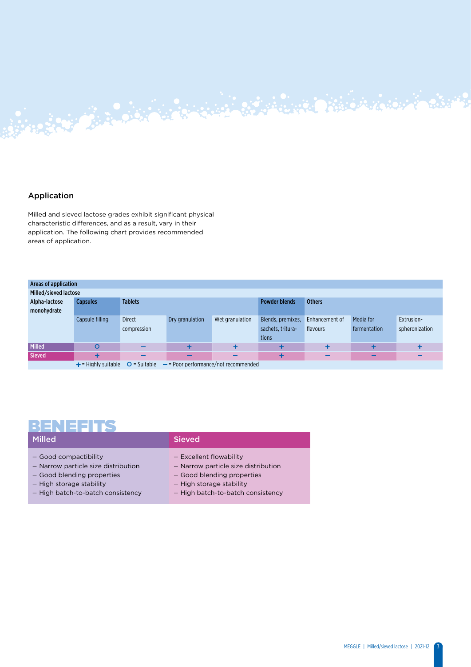### Application

Milled and sieved lactose grades exhibit significant physical characteristic differences, and as a result, vary in their application. The following chart provides recommended areas of application.

Allen Barbara Barbara

| Areas of application  |                                                                                     |                |                 |                 |                      |                |              |                |  |
|-----------------------|-------------------------------------------------------------------------------------|----------------|-----------------|-----------------|----------------------|----------------|--------------|----------------|--|
| Milled/sieved lactose |                                                                                     |                |                 |                 |                      |                |              |                |  |
| Alpha-lactose         | <b>Capsules</b>                                                                     | <b>Tablets</b> |                 |                 | <b>Powder blends</b> | <b>Others</b>  |              |                |  |
| monohydrate           |                                                                                     |                |                 |                 |                      |                |              |                |  |
|                       | Capsule filling                                                                     | <b>Direct</b>  | Dry granulation | Wet granulation | Blends, premixes,    | Enhancement of | Media for    | Extrusion-     |  |
|                       |                                                                                     | compression    |                 |                 | sachets, tritura-    | flavours       | fermentation | spheronization |  |
|                       |                                                                                     |                |                 |                 | tions                |                |              |                |  |
| Milled                | O                                                                                   | -              |                 |                 |                      |                |              |                |  |
| Sieved                | ٠                                                                                   | -              | -               | -               |                      | -              | -            |                |  |
|                       | $\perp$ = Highly cuitable $\cap$ = Suitable<br>$=$ Poor performance/not recommended |                |                 |                 |                      |                |              |                |  |

 $\bullet$  .  $\bullet$  .  $\bullet$  .  $\bullet$  .  $\bullet$  .  $\bullet$  .

### $=$  Highly suitable  $\qquad$   $\bf O$  = Suitable  $\qquad$   $\bf =$  Poor performance/not recommended

### BENEFITS

| Milled.                                                                                                                                                     | <b>Sieved</b>                                                                                                                                                 |
|-------------------------------------------------------------------------------------------------------------------------------------------------------------|---------------------------------------------------------------------------------------------------------------------------------------------------------------|
| - Good compactibility<br>- Narrow particle size distribution<br>- Good blending properties<br>- High storage stability<br>- High batch-to-batch consistency | - Excellent flowability<br>- Narrow particle size distribution<br>- Good blending properties<br>- High storage stability<br>- High batch-to-batch consistency |
|                                                                                                                                                             |                                                                                                                                                               |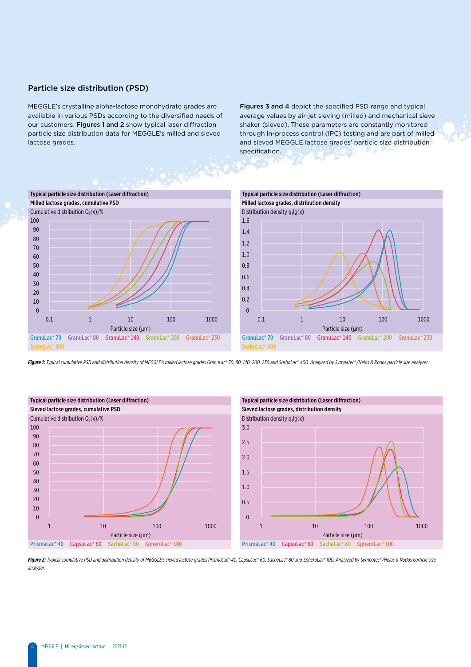### Particle size distribution (PSD)

MEGGLE's crystalline alpha-lactose monohydrate grades are available in various PSDs according to the diversified needs of our customers. Figures 1 and 2 show typical laser diffraction particle size distribution data for MEGGLE's milled and sieved lactose grades.

Figures 3 and 4 depict the specified PSD range and typical average values by air-jet sieving (milled) and mechanical sieve shaker (sieved). These parameters are constantly monitored through in-process control (IPC) testing and are part of milled and sieved MEGGLE lactose grades' particle size distribution specification.



Figure 1: Typical cumulative PSD and distribution density of MEGGLE's milled lactose grades GranuLac® 70, 80, 140, 200, 230 and SorboLac® 400. Analyzed by Sympatec®/Helos & Rodos particle size analyzer.





Figure 2: Typical cumulative PSD and distribution density of MEGGLE's sieved lactose grades PrismaLac® 40, CapsuLac® 60, SacheLac® 80 and SpheroLac® 100. Analyzed by Sympatec®/Helos & Rodos particle size *analyzer.*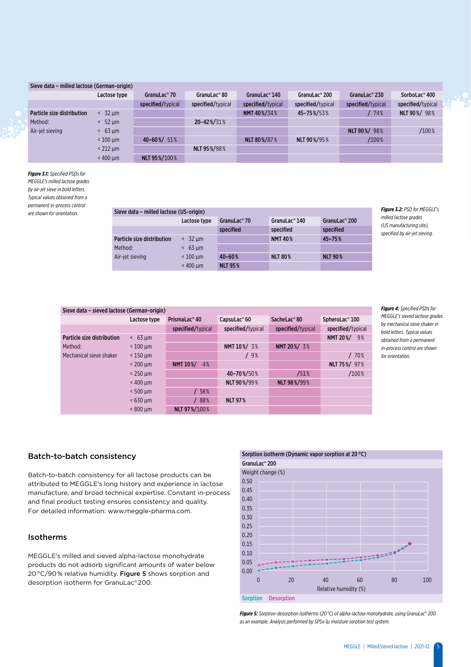### Sieve data – milled lactose (German-origin)

|                            | Lactose type | GranuLac® 70       | GranuLac®80          | GranuLac®140      | GranuLac® 200     | GranuLac® 230     | SorboLac®400      |
|----------------------------|--------------|--------------------|----------------------|-------------------|-------------------|-------------------|-------------------|
|                            |              | specified/typical  | specified/typical    | specified/typical | specified/typical | specified/typical | specified/typical |
| Particle size distribution | 32 um        |                    |                      | NMT 40%/34%       | 45-75%/53%        | 74%               | NLT 90%/98%       |
| Method:                    | 52 um        |                    | 20-42%/31%           |                   |                   |                   |                   |
| Air-jet sieving            | $63 \mu m$   |                    |                      |                   |                   | NLT 90%/98%       | /100%             |
|                            | $< 100$ um   | $40 - 60\% / 51\%$ |                      | NLT 80%/87%       | NLT 90%/95%       | /100%             |                   |
|                            | $<$ 212 um   |                    | <b>NLT 95 %/98 %</b> |                   |                   |                   |                   |
|                            | $< 400$ um   | NLT 95%/100%       |                      |                   |                   |                   |                   |

*Figure 3.1: Specified PSDs for MEGGLE's milled lactose grades by air-jet sieve in bold letters. Typical values obtained from a permanent in-process control* 

### *are shown for orientation. Figure 3.2: PSD for MEGGLE's*  Sieve data – milled lactose (US-origin)

|                            | Lactose type      | GranuLac <sup>®</sup> 70 | GranuLac <sup>®</sup> $140$ | GranuLac® 200  |
|----------------------------|-------------------|--------------------------|-----------------------------|----------------|
|                            |                   | specified                | specified                   | specified      |
| Particle size distribution | $< 32 \text{ nm}$ |                          | <b>NMT 40%</b>              | $45 - 75%$     |
| Method:                    | $63 \text{ µm}$   |                          |                             |                |
| Air-jet sieving            | $< 100$ um        | $40 - 60%$               | <b>NLT 80%</b>              | <b>NLT 90%</b> |
|                            | $< 400$ um        | <b>NLT 95%</b>           |                             |                |

*milled lactose grades (US manufacturing site), specified by air-jet sieving.*

| Sieve data - sieved lactose (German-origin) |                 |                           |                          |                   |                       |  |  |  |
|---------------------------------------------|-----------------|---------------------------|--------------------------|-------------------|-----------------------|--|--|--|
|                                             | Lactose type    | PrismaLac <sup>®</sup> 40 | CapsuLac <sup>®</sup> 60 | SacheLac®80       | SpheroLac®100         |  |  |  |
|                                             |                 | specified/typical         | specified/typical        | specified/typical | specified/typical     |  |  |  |
| Particle size distribution                  | $& 63 \mu m$    |                           |                          |                   | <b>NMT 20%/</b><br>9% |  |  |  |
| Method:                                     | $< 100 \mu m$   |                           | NMT 10%/ 3%              | NMT 20%/ 3%       |                       |  |  |  |
| Mechanical sieve shaker                     | $<$ 150 $\mu$ m |                           | /9%                      |                   | / 70%                 |  |  |  |
|                                             | $< 200 \mu m$   | NMT 10%/<br>4%            |                          |                   | NLT 75%/ 97%          |  |  |  |
|                                             | $<$ 250 $\mu$ m |                           | 40-70%/50%               | /51%              | /100%                 |  |  |  |
|                                             | $< 400$ um      |                           | NLT 90%/99%              | NLT 98%/99%       |                       |  |  |  |
|                                             | $< 500$ um      | /58%                      |                          |                   |                       |  |  |  |
|                                             | $< 630$ um      | /88%                      | <b>NLT 97%</b>           |                   |                       |  |  |  |
|                                             | $< 800 \mu m$   | NLT 97%/100%              |                          |                   |                       |  |  |  |

*Figure 4: Specified PSDs for MEGGLE's sieved lactose grades by mechanical sieve shaker in bold letters. Typical values obtained from a permanent in-process control are shown for orientation.*

### Batch-to-batch consistency

Batch-to-batch consistency for all lactose products can be attributed to MEGGLE's long history and experience in lactose manufacture, and broad technical expertise. Constant in-process and final product testing ensures consistency and quality. For detailed information: www.meggle-pharma.com.

### Isotherms

MEGGLE's milled and sieved alpha-lactose monohydrate products do not adsorb significant amounts of water below 20 °C/90 % relative humidity. Figure 5 shows sorption and desorption isotherm for GranuLac® 200.



*Figure 5: Sorption-desorption isotherms (20 °C) of alpha-lactose monohydrate, using GranuLac*®*200 as an example. Analysis performed by SPSx-1µ moisture sorption test system.*

5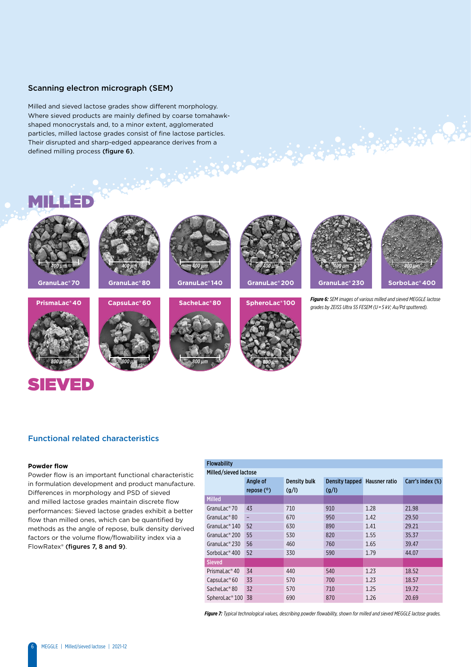### Scanning electron micrograph (SEM)

Milled and sieved lactose grades show different morphology. Where sieved products are mainly defined by coarse tomahawkshaped monocrystals and, to a minor extent, agglomerated particles, milled lactose grades consist of fine lactose particles. Their disrupted and sharp-edged appearance derives from a defined milling process (figure 6).

### MILLED





### SIEVED



**GranuLac® 80**











*Figure 6: SEM images of various milled and sieved MEGGLE lactose grades by ZEISS Ultra 55 FESEM (U = 5 kV; Au/Pd sputtered).*

## *800 µm 800 µm 800 µm 800 µm*





### Functional related characteristics

### **Powder flow**

Powder flow is an important functional characteristic in formulation development and product manufacture. Differences in morphology and PSD of sieved and milled lactose grades maintain discrete flow performances: Sieved lactose grades exhibit a better flow than milled ones, which can be quantified by methods as the angle of repose, bulk density derived factors or the volume flow/flowability index via a FlowRatex® (figures 7, 8 and 9).

### Flowability Milled/sieved lactose Angle of repose (°) Density bulk (g/l) Density tapped Hausner ratio  $(g/I)$ Carr's index (%) Milled GranuLac® 70 43 710 910 1.28 21.98 GranuLac<sup>®</sup>80 – 670 950 1.42 29.50 GranuLac<sup>®</sup>140 52 630 890 1.41 29.21 GranuLac®<sup></sup>200 55 530 820 1.55 35.37 GranuLac®**230 56 460** 760 1.65 39.47 SorboLac® 400 52 330 590 1.79 44.07 Sieved PrismaLac® 40 34 440 540 540 1.23 18.52 CapsuLac® 60 33 570 700 1.23 18.57 SacheLac® 80 32 570 710 1.25 19.72 SpheroLac®<sup>100</sup> 38 690 870 1.26 20.69

*Figure 7: Typical technological values, describing powder flowability, shown for milled and sieved MEGGLE lactose grades.*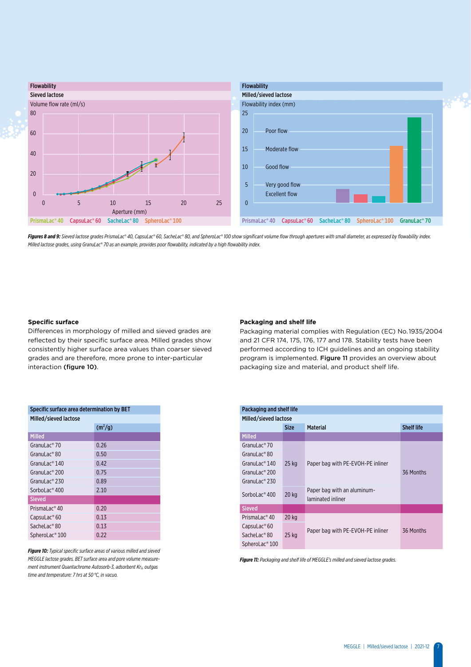

Figures 8 and 9: Sieved lactose grades PrismaLac® 40, CapsuLac® 60, SacheLac® 80, and SpheroLac® 100 show significant volume flow through apertures with small diameter, as expressed by flowability index. *Milled lactose grades, using GranuLac*®*70 as an example, provides poor flowability, indicated by a high flowability index.*

### **Specific surface**

Differences in morphology of milled and sieved grades are reflected by their specific surface area. Milled grades show consistently higher surface area values than coarser sieved grades and are therefore, more prone to inter-particular interaction (figure 10).

### **Packaging and shelf life**

Packaging material complies with Regulation (EC) No. 1935/2004 and 21 CFR 174, 175, 176, 177 and 178. Stability tests have been performed according to ICH guidelines and an ongoing stability program is implemented. Figure 11 provides an overview about packaging size and material, and product shelf life.

| Specific surface area determination by BET |                     |  |  |  |  |  |
|--------------------------------------------|---------------------|--|--|--|--|--|
| Milled/sieved lactose                      |                     |  |  |  |  |  |
|                                            | (m <sup>2</sup> /g) |  |  |  |  |  |
| <b>Milled</b>                              |                     |  |  |  |  |  |
| GranuLac®70                                | 0.26                |  |  |  |  |  |
| GranuLac®80                                | 0.50                |  |  |  |  |  |
| GranuLac <sup>®</sup> $140$                | 0.42                |  |  |  |  |  |
| GranuLac® 200                              | 0.75                |  |  |  |  |  |
| Granul ac <sup>®</sup> 230                 | 0.89                |  |  |  |  |  |
| SorboLac <sup>®</sup> 400                  | 2.10                |  |  |  |  |  |
| <b>Sieved</b>                              |                     |  |  |  |  |  |
| PrismaLac <sup>®</sup> 40                  | 0.20                |  |  |  |  |  |
| CapsuLac <sup>®</sup> 60                   | 0.13                |  |  |  |  |  |
| Sachel ac <sup>®</sup> 80                  | 0.13                |  |  |  |  |  |
| SpheroLac <sup>®</sup> 100                 | 0.22                |  |  |  |  |  |

*Figure 10: Typical specific surface areas of various milled and sieved MEGGLE lactose grades. BET surface area and pore volume measurement instrument Quantachrome Autosorb-3, adsorbent Kr<sub>2</sub>, outgas time and temperature: 7 hrs at 50 °C, in vacuo.*

| Packaging and shelf life                        |             |                                                  |                   |  |  |  |
|-------------------------------------------------|-------------|--------------------------------------------------|-------------------|--|--|--|
| Milled/sieved lactose                           |             |                                                  |                   |  |  |  |
|                                                 | <b>Size</b> | <b>Material</b>                                  | <b>Shelf life</b> |  |  |  |
| <b>Milled</b>                                   |             |                                                  |                   |  |  |  |
| GranuLac <sup>®</sup> 70                        |             |                                                  |                   |  |  |  |
| GranuLac <sup>®</sup> 80                        |             |                                                  |                   |  |  |  |
| GranuLac <sup>®</sup> $140$                     | $25$ kg     | Paper bag with PE-EVOH-PE inliner                |                   |  |  |  |
| GranuLac <sup>®</sup> 200                       |             |                                                  | 36 Months         |  |  |  |
| GranuLac <sup>®</sup> 230                       |             |                                                  |                   |  |  |  |
| SorboLac <sup>®</sup> 400                       | $20$ kg     | Paper bag with an aluminum-<br>laminated inliner |                   |  |  |  |
| <b>Sieved</b>                                   |             |                                                  |                   |  |  |  |
| Prismal $ac$ <sup><math>\degree</math></sup> 40 | $20$ kg     |                                                  |                   |  |  |  |
| $C$ apsu $Lac$ <sup>®</sup> 60                  |             |                                                  | 36 Months         |  |  |  |
| SacheLac <sup>®</sup> 80                        | $25$ kg     | Paper bag with PE-EVOH-PE inliner                |                   |  |  |  |
| SpheroLac <sup>®</sup> 100                      |             |                                                  |                   |  |  |  |

*Figure 11: Packaging and shelf life of MEGGLE's milled and sieved lactose grades.*

7